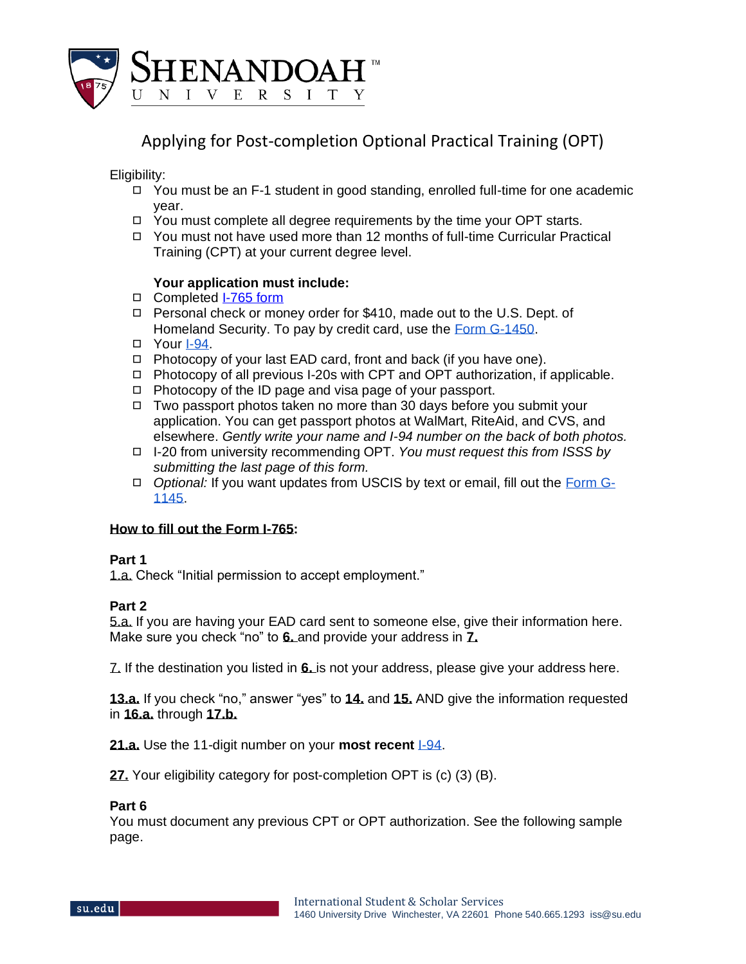

Applying for Post-completion Optional Practical Training (OPT)

Eligibility:

- ◻ You must be an F-1 student in good standing, enrolled full-time for one academic year.
- ◻ You must complete all degree requirements by the time your OPT starts.
- ◻ You must not have used more than 12 months of full-time Curricular Practical Training (CPT) at your current degree level.

# **Your application must include:**

- ◻ Completed [I-765 form](http://www.uscis.gov/i-765)
- ◻ Personal check or money order for \$410, made out to the U.S. Dept. of Homeland Security. To pay by credit card, use the [Form G-1450.](https://www.uscis.gov/g-1450)
- ◻ Your [I-94.](https://i94.cbp.dhs.gov/)
- ◻ Photocopy of your last EAD card, front and back (if you have one).
- ◻ Photocopy of all previous I-20s with CPT and OPT authorization, if applicable.
- ◻ Photocopy of the ID page and visa page of your passport.
- ◻ Two passport photos taken no more than 30 days before you submit your application. You can get passport photos at WalMart, RiteAid, and CVS, and elsewhere. *Gently write your name and I-94 number on the back of both photos.*
- ◻ I-20 from university recommending OPT. *You must request this from ISSS by submitting the last page of this form.*
- ◻ *Optional:* If you want updates from USCIS by text or email, fill out the [Form G-](https://www.uscis.gov/g-1145)[1145.](https://www.uscis.gov/g-1145)

# **How to fill out the Form I-765:**

## **Part 1**

1.a. Check "Initial permission to accept employment."

# **Part 2**

5.a. If you are having your EAD card sent to someone else, give their information here. Make sure you check "no" to **6.** and provide your address in **7.**

7. If the destination you listed in **6.** is not your address, please give your address here.

**13.a.** If you check "no," answer "yes" to **14.** and **15.** AND give the information requested in **16.a.** through **17.b.**

**21.a.** Use the 11-digit number on your **most recent** [I-94.](https://i94.cbp.dhs.gov/)

**27.** Your eligibility category for post-completion OPT is (c) (3) (B).

## **Part 6**

You must document any previous CPT or OPT authorization. See the following sample page.

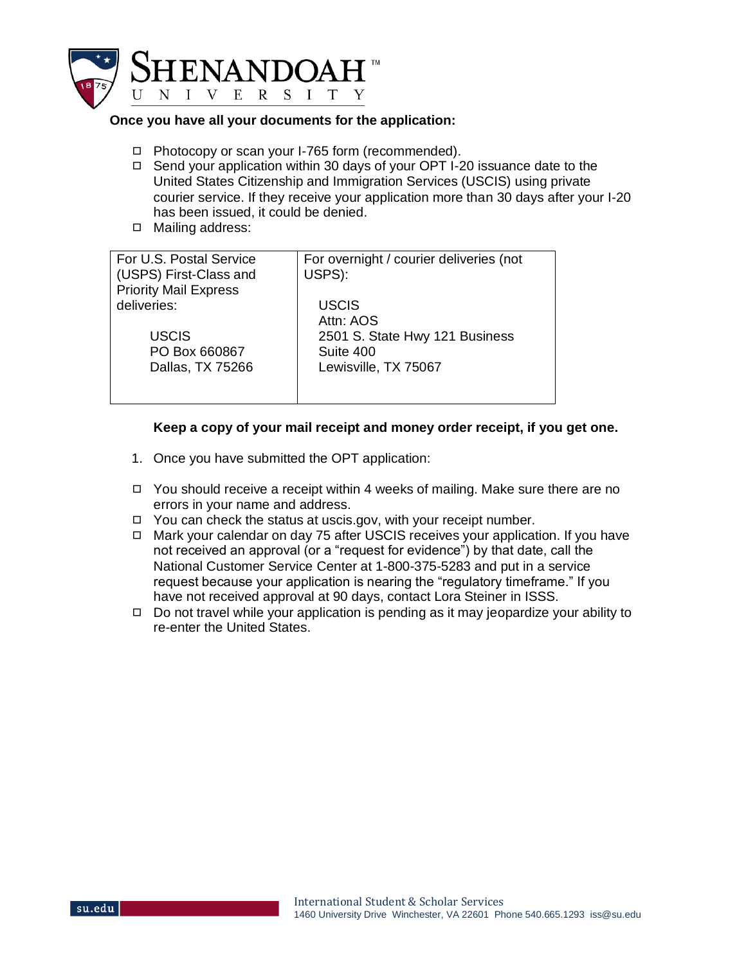

## **Once you have all your documents for the application:**

- ◻ Photocopy or scan your I-765 form (recommended).
- ◻ Send your application within 30 days of your OPT I-20 issuance date to the United States Citizenship and Immigration Services (USCIS) using private courier service. If they receive your application more than 30 days after your I-20 has been issued, it could be denied.
- ◻ Mailing address:

| For U.S. Postal Service      |                                         |
|------------------------------|-----------------------------------------|
|                              | For overnight / courier deliveries (not |
| (USPS) First-Class and       | USPS):                                  |
|                              |                                         |
| <b>Priority Mail Express</b> |                                         |
| deliveries:                  | <b>USCIS</b>                            |
|                              | Attn: AOS                               |
|                              |                                         |
| USCIS                        | 2501 S. State Hwy 121 Business          |
| PO Box 660867                | Suite 400                               |
|                              |                                         |
| Dallas, TX 75266             | Lewisville, TX 75067                    |
|                              |                                         |
|                              |                                         |
|                              |                                         |

## **Keep a copy of your mail receipt and money order receipt, if you get one.**

- 1. Once you have submitted the OPT application:
- ◻ You should receive a receipt within 4 weeks of mailing. Make sure there are no errors in your name and address.
- ◻ You can check the status at uscis.gov, with your receipt number.
- ◻ Mark your calendar on day 75 after USCIS receives your application. If you have not received an approval (or a "request for evidence") by that date, call the National Customer Service Center at 1-800-375-5283 and put in a service request because your application is nearing the "regulatory timeframe." If you have not received approval at 90 days, contact Lora Steiner in ISSS.
- $\Box$  Do not travel while your application is pending as it may jeopardize your ability to re-enter the United States.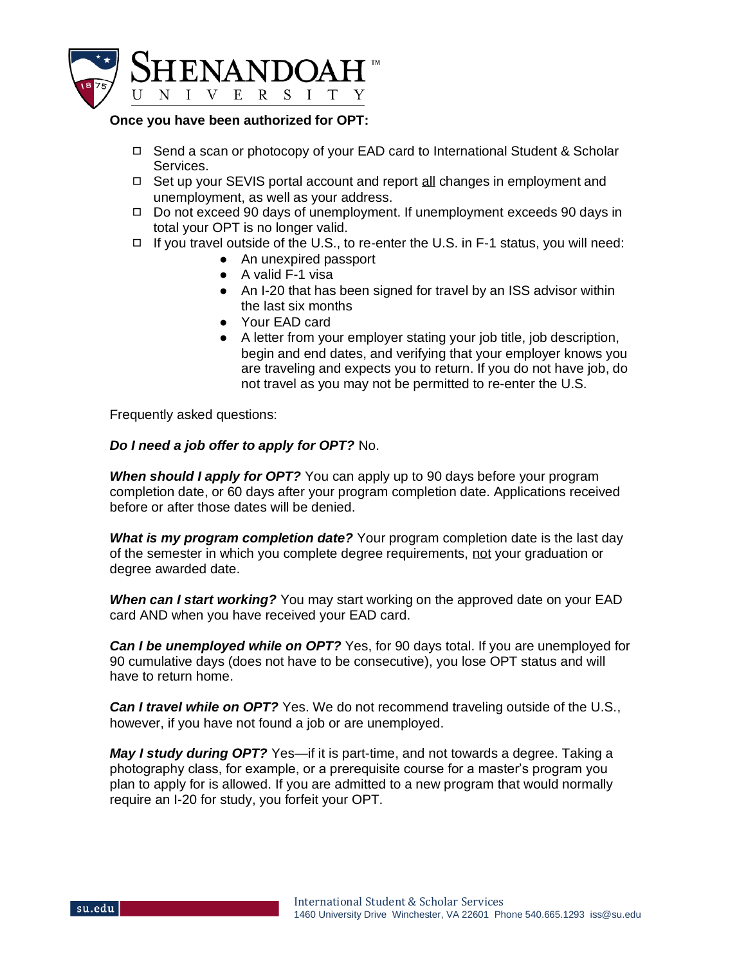

#### **Once you have been authorized for OPT:**

- ◻ Send a scan or photocopy of your EAD card to International Student & Scholar Services.
- ◻ Set up your SEVIS portal account and report all changes in employment and unemployment, as well as your address.
- ◻ Do not exceed 90 days of unemployment. If unemployment exceeds 90 days in total your OPT is no longer valid.
- $\Box$  If you travel outside of the U.S., to re-enter the U.S. in F-1 status, you will need:
	- An unexpired passport
	- A valid F-1 visa
	- An I-20 that has been signed for travel by an ISS advisor within the last six months
	- Your EAD card
	- A letter from your employer stating your job title, job description, begin and end dates, and verifying that your employer knows you are traveling and expects you to return. If you do not have job, do not travel as you may not be permitted to re-enter the U.S.

Frequently asked questions:

# *Do I need a job offer to apply for OPT?* No.

*When should I apply for OPT?* You can apply up to 90 days before your program completion date, or 60 days after your program completion date. Applications received before or after those dates will be denied.

*What is my program completion date?* Your program completion date is the last day of the semester in which you complete degree requirements, not your graduation or degree awarded date.

*When can I start working?* You may start working on the approved date on your EAD card AND when you have received your EAD card.

*Can I be unemployed while on OPT?* Yes, for 90 days total. If you are unemployed for 90 cumulative days (does not have to be consecutive), you lose OPT status and will have to return home.

*Can I travel while on OPT?* Yes. We do not recommend traveling outside of the U.S., however, if you have not found a job or are unemployed.

*May I study during OPT?* Yes—if it is part-time, and not towards a degree. Taking a photography class, for example, or a prerequisite course for a master's program you plan to apply for is allowed. If you are admitted to a new program that would normally require an I-20 for study, you forfeit your OPT.